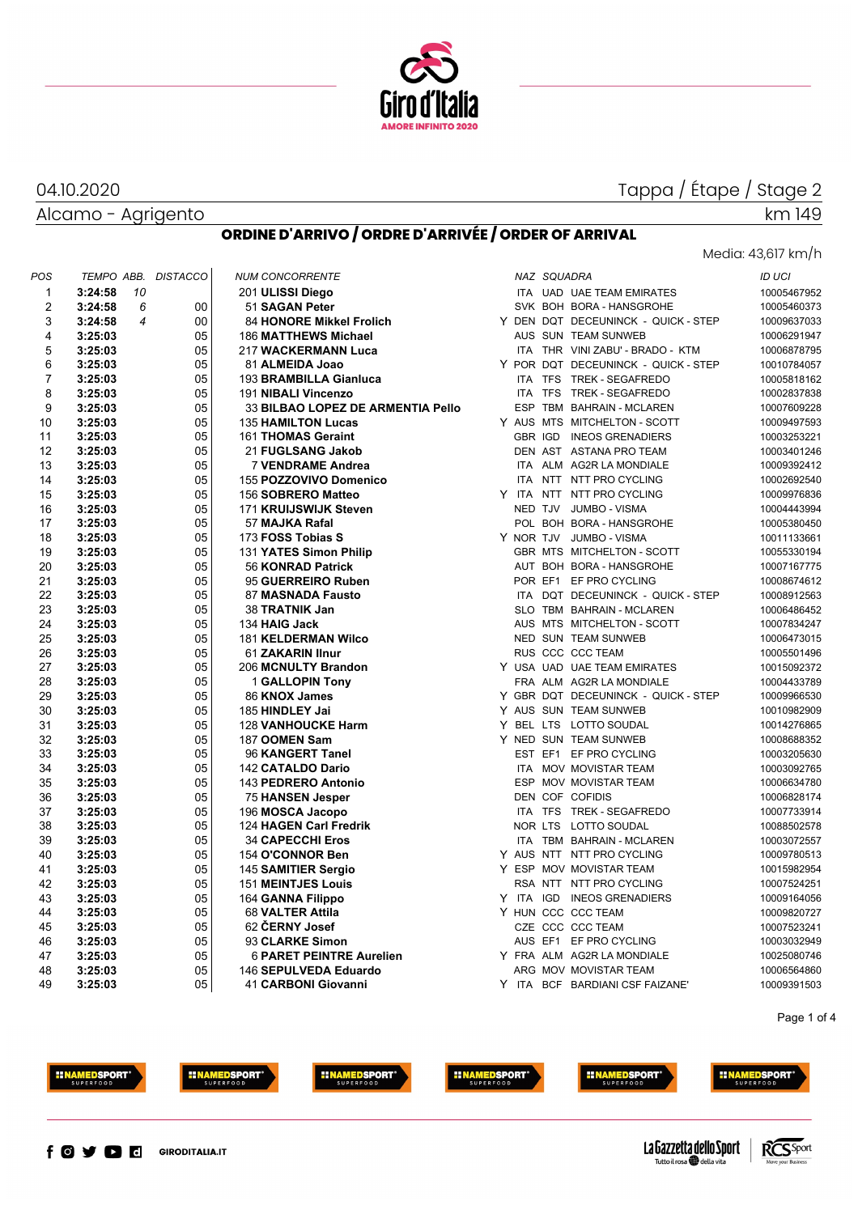

#### Alcamo - Agrigento 04.10.2020

 $\mathbf{r}$ 

## Media: 43,617 km/h

| POS            | TEMPO ABB.                | <b>DISTACCO</b> | <b>NUM CONCORRENTE</b>            | NAZ SQUADRA                         | <b>ID UCI</b> |
|----------------|---------------------------|-----------------|-----------------------------------|-------------------------------------|---------------|
| $\mathbf{1}$   | 3:24:58<br>10             |                 | 201 ULISSI Diego                  | ITA UAD UAE TEAM EMIRATES           | 10005467952   |
| $\overline{2}$ | 3:24:58<br>6              | $00\,$          | 51 SAGAN Peter                    | SVK BOH BORA - HANSGROHE            | 10005460373   |
| 3              | 3:24:58<br>$\overline{4}$ | $00\,$          | <b>84 HONORE Mikkel Frolich</b>   | Y DEN DQT DECEUNINCK - QUICK - STEP | 10009637033   |
| 4              | 3:25:03                   | 05              | <b>186 MATTHEWS Michael</b>       | AUS SUN TEAM SUNWEB                 | 10006291947   |
| 5              | 3:25:03                   | 05              | 217 WACKERMANN Luca               | ITA THR VINI ZABU' - BRADO - KTM    | 10006878795   |
| 6              | 3:25:03                   | 05              | 81 ALMEIDA Joao                   | Y POR DQT DECEUNINCK - QUICK - STEP | 10010784057   |
| $\overline{7}$ | 3:25:03                   | 05              | 193 BRAMBILLA Gianluca            | ITA TFS TREK - SEGAFREDO            | 10005818162   |
| 8              | 3:25:03                   | 05              | 191 NIBALI Vincenzo               | ITA TFS TREK - SEGAFREDO            | 10002837838   |
| 9              | 3:25:03                   | 05              | 33 BILBAO LOPEZ DE ARMENTIA Pello | ESP TBM BAHRAIN - MCLAREN           | 10007609228   |
| 10             | 3:25:03                   | 05              | <b>135 HAMILTON Lucas</b>         | Y AUS MTS MITCHELTON - SCOTT        | 10009497593   |
| 11             | 3:25:03                   | 05              | 161 THOMAS Geraint                | GBR IGD INEOS GRENADIERS            | 10003253221   |
| 12             | 3:25:03                   | 05              | 21 FUGLSANG Jakob                 | DEN AST ASTANA PRO TEAM             | 10003401246   |
| 13             | 3:25:03                   | 05              | 7 VENDRAME Andrea                 | ITA ALM AG2R LA MONDIALE            | 10009392412   |
| 14             | 3:25:03                   | 05              | 155 POZZOVIVO Domenico            | ITA NTT NTT PRO CYCLING             | 10002692540   |
| 15             | 3:25:03                   | 05              | 156 SOBRERO Matteo                | Y ITA NTT NTT PRO CYCLING           | 10009976836   |
| 16             | 3:25:03                   | 05              | 171 KRUIJSWIJK Steven             | NED TJV JUMBO - VISMA               | 10004443994   |
| 17             | 3:25:03                   | 05              | 57 MAJKA Rafal                    | POL BOH BORA - HANSGROHE            | 10005380450   |
| 18             | 3:25:03                   | 05              | 173 FOSS Tobias S                 | Y NOR TJV JUMBO - VISMA             | 10011133661   |
| 19             | 3:25:03                   | 05              | 131 YATES Simon Philip            | GBR MTS MITCHELTON - SCOTT          | 10055330194   |
| 20             | 3:25:03                   | 05              | 56 KONRAD Patrick                 | AUT BOH BORA - HANSGROHE            | 10007167775   |
| 21             | 3:25:03                   | 05              | 95 GUERREIRO Ruben                | POR EF1 EF PRO CYCLING              | 10008674612   |
| 22             | 3:25:03                   | 05              | 87 MASNADA Fausto                 | ITA DQT DECEUNINCK - QUICK - STEP   | 10008912563   |
| 23             | 3:25:03                   | 05              | 38 TRATNIK Jan                    | SLO TBM BAHRAIN - MCLAREN           | 10006486452   |
| 24             | 3:25:03                   | 05              | 134 HAIG Jack                     | AUS MTS MITCHELTON - SCOTT          | 10007834247   |
| 25             | 3:25:03                   | 05              | <b>181 KELDERMAN Wilco</b>        | NED SUN TEAM SUNWEB                 | 10006473015   |
| 26             | 3:25:03                   | 05              | 61 ZAKARIN IInur                  | <b>RUS CCC CCC TEAM</b>             | 10005501496   |
| 27             | 3:25:03                   | 05              | 206 MCNULTY Brandon               | Y USA UAD UAE TEAM EMIRATES         | 10015092372   |
| 28             | 3:25:03                   | 05              | <b>1 GALLOPIN Tony</b>            | FRA ALM AG2R LA MONDIALE            | 10004433789   |
| 29             | 3:25:03                   | 05              | 86 KNOX James                     | Y GBR DQT DECEUNINCK - QUICK - STEP | 10009966530   |
| 30             | 3:25:03                   | 05              | 185 HINDLEY Jai                   | Y AUS SUN TEAM SUNWEB               | 10010982909   |
| 31             | 3:25:03                   | 05              | <b>128 VANHOUCKE Harm</b>         | Y BEL LTS LOTTO SOUDAL              | 10014276865   |
| 32             | 3:25:03                   | 05              | 187 OOMEN Sam                     | Y NED SUN TEAM SUNWEB               | 10008688352   |
| 33             | 3:25:03                   | 05              | 96 KANGERT Tanel                  | EST EF1 EF PRO CYCLING              | 10003205630   |
| 34             | 3:25:03                   | 05              | 142 CATALDO Dario                 | ITA MOV MOVISTAR TEAM               | 10003092765   |
| 35             | 3:25:03                   | 05              | 143 PEDRERO Antonio               | ESP MOV MOVISTAR TEAM               | 10006634780   |
| 36             | 3:25:03                   | 05              | 75 HANSEN Jesper                  | DEN COF COFIDIS                     | 10006828174   |
| 37             | 3:25:03                   | 05              | 196 MOSCA Jacopo                  | ITA TFS TREK - SEGAFREDO            | 10007733914   |
| 38             | 3:25:03                   | 05              | 124 HAGEN Carl Fredrik            | NOR LTS LOTTO SOUDAL                | 10088502578   |
| 39             | 3:25:03                   | 05              | <b>34 CAPECCHI Eros</b>           | ITA TBM BAHRAIN - MCLAREN           | 10003072557   |
| 40             | 3:25:03                   | 05              | 154 O'CONNOR Ben                  | Y AUS NTT NTT PRO CYCLING           | 10009780513   |
| 41             | 3:25:03                   | 05              | 145 SAMITIER Sergio               | Y ESP MOV MOVISTAR TEAM             | 10015982954   |
| 42             | 3:25:03                   | 05              | <b>151 MEINTJES Louis</b>         | RSA NTT NTT PRO CYCLING             | 10007524251   |
| 43             | 3:25:03                   | 05              | 164 GANNA Filippo                 | Y ITA IGD INEOS GRENADIERS          | 10009164056   |
| 44             | 3:25:03                   | 05              | 68 VALTER Attila                  | Y HUN CCC CCC TEAM                  | 10009820727   |
| 45             | 3:25:03                   | 05              | 62 CERNY Josef                    | CZE CCC CCC TEAM                    | 10007523241   |
| 46             | 3:25:03                   | 05              | 93 CLARKE Simon                   | AUS EF1 EF PRO CYCLING              | 10003032949   |
| 47             | 3:25:03                   | 05              | <b>6 PARET PEINTRE Aurelien</b>   | Y FRA ALM AG2R LA MONDIALE          | 10025080746   |
| 48             | 3:25:03                   | 05              | 146 SEPULVEDA Eduardo             | ARG MOV MOVISTAR TEAM               | 10006564860   |
| 49             | 3:25:03                   | 05              | 41 CARBONI Giovanni               | Y ITA BCF BARDIANI CSF FAIZANE'     | 10009391503   |
|                |                           |                 |                                   |                                     |               |







**INAMEDSPORT** 





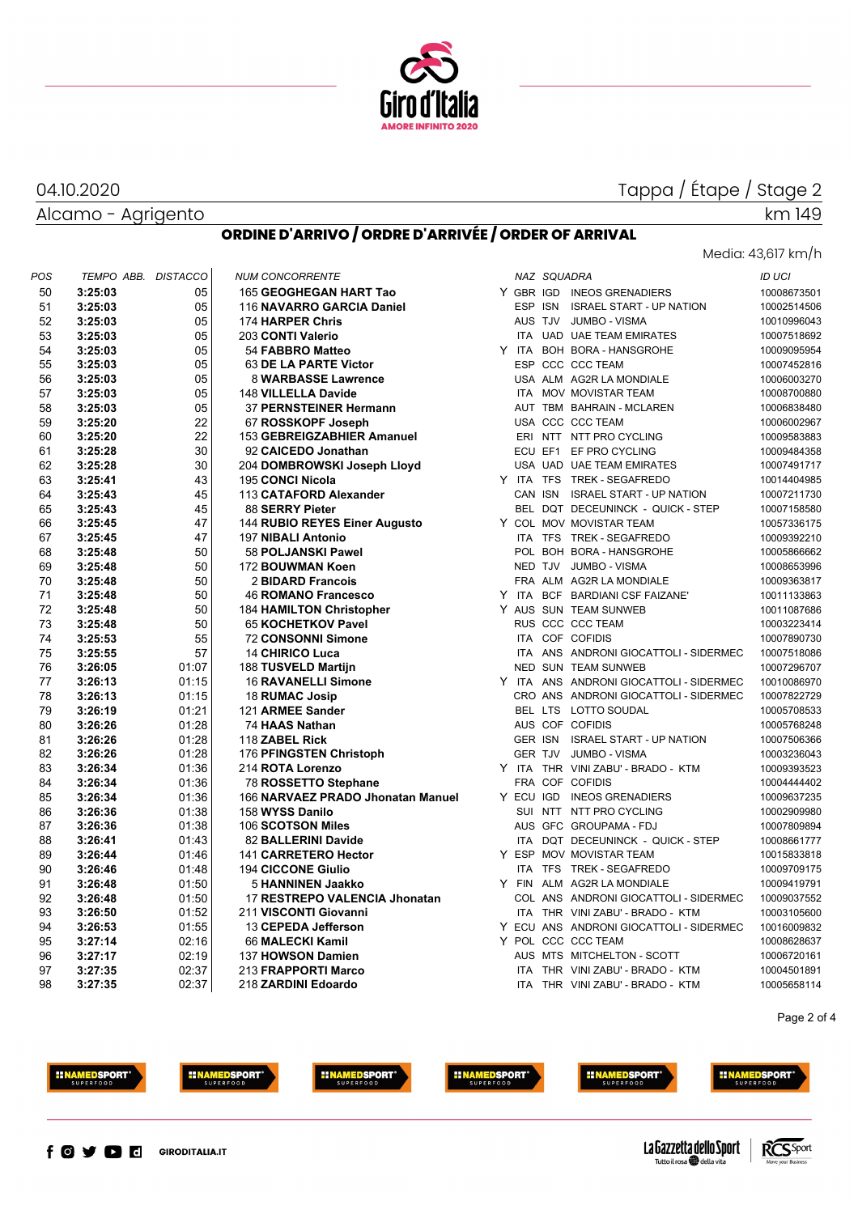

Alcamo - Agrigento

J.

04.10.2020

#### **ORDINE D'ARRIVO / ORDRE D'ARRIVÉE / ORDER OF ARRIVAL**

#### Media: 43,617 km/h

| POS | TEMPO ABB. | <b>DISTACCO</b> | <b>NUM CONCORRENTE</b>            |  | NAZ SQUADRA |                                         | <b>ID UCI</b> |
|-----|------------|-----------------|-----------------------------------|--|-------------|-----------------------------------------|---------------|
| 50  | 3:25:03    | 05              | 165 GEOGHEGAN HART Tao            |  |             | Y GBR IGD INEOS GRENADIERS              | 10008673501   |
| 51  | 3:25:03    | 05              | 116 NAVARRO GARCIA Daniel         |  |             | ESP ISN ISRAEL START - UP NATION        | 10002514506   |
| 52  | 3:25:03    | 05              | 174 HARPER Chris                  |  |             | AUS TJV JUMBO - VISMA                   | 10010996043   |
| 53  | 3:25:03    | 05              | 203 CONTI Valerio                 |  |             | ITA UAD UAE TEAM EMIRATES               | 10007518692   |
| 54  | 3:25:03    | 05              | 54 FABBRO Matteo                  |  |             | Y ITA BOH BORA - HANSGROHE              | 10009095954   |
| 55  | 3:25:03    | 05              | 63 DE LA PARTE Victor             |  |             | ESP CCC CCC TEAM                        | 10007452816   |
| 56  | 3:25:03    | 05              | 8 WARBASSE Lawrence               |  |             | USA ALM AG2R LA MONDIALE                | 10006003270   |
| 57  | 3:25:03    | 05              | 148 VILLELLA Davide               |  |             | ITA MOV MOVISTAR TEAM                   | 10008700880   |
| 58  | 3:25:03    | 05              | 37 PERNSTEINER Hermann            |  |             | AUT TBM BAHRAIN - MCLAREN               | 10006838480   |
| 59  | 3:25:20    | 22              | 67 ROSSKOPF Joseph                |  |             | USA CCC CCC TEAM                        | 10006002967   |
| 60  | 3:25:20    | 22              | 153 GEBREIGZABHIER Amanuel        |  |             | ERI NTT NTT PRO CYCLING                 | 10009583883   |
| 61  | 3:25:28    | 30              | 92 CAICEDO Jonathan               |  |             | ECU EF1 EF PRO CYCLING                  | 10009484358   |
| 62  | 3:25:28    | 30              | 204 DOMBROWSKI Joseph Lloyd       |  |             | USA UAD UAE TEAM EMIRATES               | 10007491717   |
| 63  | 3:25:41    | 43              | 195 CONCI Nicola                  |  |             | Y ITA TFS TREK - SEGAFREDO              | 10014404985   |
| 64  | 3:25:43    | 45              | 113 CATAFORD Alexander            |  |             | CAN ISN ISRAEL START - UP NATION        | 10007211730   |
| 65  | 3:25:43    | 45              | 88 SERRY Pieter                   |  |             | BEL DQT DECEUNINCK - QUICK - STEP       | 10007158580   |
| 66  | 3:25:45    | 47              | 144 RUBIO REYES Einer Augusto     |  |             | Y COL MOV MOVISTAR TEAM                 | 10057336175   |
| 67  | 3:25:45    | 47              | 197 NIBALI Antonio                |  |             | ITA TFS TREK - SEGAFREDO                | 10009392210   |
| 68  | 3:25:48    | 50              | 58 POLJANSKI Pawel                |  |             | POL BOH BORA - HANSGROHE                | 10005866662   |
| 69  | 3:25:48    | 50              | 172 BOUWMAN Koen                  |  |             | NED TJV JUMBO - VISMA                   | 10008653996   |
| 70  | 3:25:48    | 50              | 2 BIDARD Francois                 |  |             | FRA ALM AG2R LA MONDIALE                | 10009363817   |
| 71  | 3:25:48    | 50              | 46 ROMANO Francesco               |  |             | Y ITA BCF BARDIANI CSF FAIZANE'         | 10011133863   |
| 72  | 3:25:48    | 50              | <b>184 HAMILTON Christopher</b>   |  |             | Y AUS SUN TEAM SUNWEB                   | 10011087686   |
| 73  | 3:25:48    | 50              | 65 KOCHETKOV Pavel                |  |             | RUS CCC CCC TEAM                        | 10003223414   |
| 74  | 3:25:53    | 55              | 72 CONSONNI Simone                |  |             | ITA COF COFIDIS                         | 10007890730   |
| 75  | 3:25:55    | 57              | <b>14 CHIRICO Luca</b>            |  |             | ITA ANS ANDRONI GIOCATTOLI - SIDERMEC   | 10007518086   |
| 76  | 3:26:05    | 01:07           | 188 TUSVELD Martijn               |  |             | NED SUN TEAM SUNWEB                     | 10007296707   |
| 77  | 3:26:13    | 01:15           | 16 RAVANELLI Simone               |  |             | Y ITA ANS ANDRONI GIOCATTOLI - SIDERMEC | 10010086970   |
| 78  | 3:26:13    | 01:15           | 18 RUMAC Josip                    |  |             | CRO ANS ANDRONI GIOCATTOLI - SIDERMEC   | 10007822729   |
| 79  | 3:26:19    | 01:21           | 121 ARMEE Sander                  |  |             | BEL LTS LOTTO SOUDAL                    | 10005708533   |
| 80  | 3:26:26    | 01:28           | 74 HAAS Nathan                    |  |             | AUS COF COFIDIS                         | 10005768248   |
| 81  | 3:26:26    | 01:28           | 118 ZABEL Rick                    |  |             | GER ISN ISRAEL START - UP NATION        | 10007506366   |
| 82  | 3:26:26    | 01:28           | 176 PFINGSTEN Christoph           |  |             | GER TJV JUMBO - VISMA                   | 10003236043   |
| 83  | 3:26:34    | 01:36           | 214 ROTA Lorenzo                  |  |             | Y ITA THR VINI ZABU' - BRADO - KTM      | 10009393523   |
| 84  | 3:26:34    | 01:36           | 78 ROSSETTO Stephane              |  |             | FRA COF COFIDIS                         | 10004444402   |
| 85  | 3:26:34    | 01:36           | 166 NARVAEZ PRADO Jhonatan Manuel |  |             | Y ECU IGD INEOS GRENADIERS              | 10009637235   |
| 86  | 3:26:36    | 01:38           | 158 WYSS Danilo                   |  |             | SUI NTT NTT PRO CYCLING                 | 10002909980   |
| 87  | 3:26:36    | 01:38           | 106 SCOTSON Miles                 |  |             | AUS GFC GROUPAMA - FDJ                  | 10007809894   |
| 88  | 3:26:41    | 01:43           | 82 BALLERINI Davide               |  |             | ITA DQT DECEUNINCK - QUICK - STEP       | 10008661777   |
| 89  | 3:26:44    | 01:46           | 141 CARRETERO Hector              |  |             | Y ESP MOV MOVISTAR TEAM                 | 10015833818   |
| 90  | 3:26:46    | 01:48           | <b>194 CICCONE Giulio</b>         |  |             | ITA TFS TREK - SEGAFREDO                | 10009709175   |
| 91  | 3:26:48    | 01:50           | 5 HANNINEN Jaakko                 |  |             | Y FIN ALM AG2R LA MONDIALE              | 10009419791   |
| 92  | 3:26:48    | 01:50           | 17 RESTREPO VALENCIA Jhonatan     |  |             | COL ANS ANDRONI GIOCATTOLI - SIDERMEC   | 10009037552   |
| 93  | 3:26:50    | 01:52           | 211 VISCONTI Giovanni             |  |             | ITA THR VINI ZABU' - BRADO - KTM        | 10003105600   |
| 94  | 3:26:53    | 01:55           | 13 CEPEDA Jefferson               |  |             | Y ECU ANS ANDRONI GIOCATTOLI - SIDERMEC | 10016009832   |
| 95  | 3:27:14    | 02:16           | 66 MALECKI Kamil                  |  |             | Y POL CCC CCC TEAM                      | 10008628637   |
| 96  | 3:27:17    | 02:19           | 137 HOWSON Damien                 |  |             | AUS MTS MITCHELTON - SCOTT              | 10006720161   |
| 97  | 3:27:35    | 02:37           | 213 FRAPPORTI Marco               |  |             | ITA THR VINI ZABU' - BRADO - KTM        | 10004501891   |
| 98  | 3:27:35    | 02:37           | 218 ZARDINI Edoardo               |  |             | ITA THR VINI ZABU' - BRADO - KTM        | 10005658114   |

Page 2 of 4







**HINAMEDSPORT** 







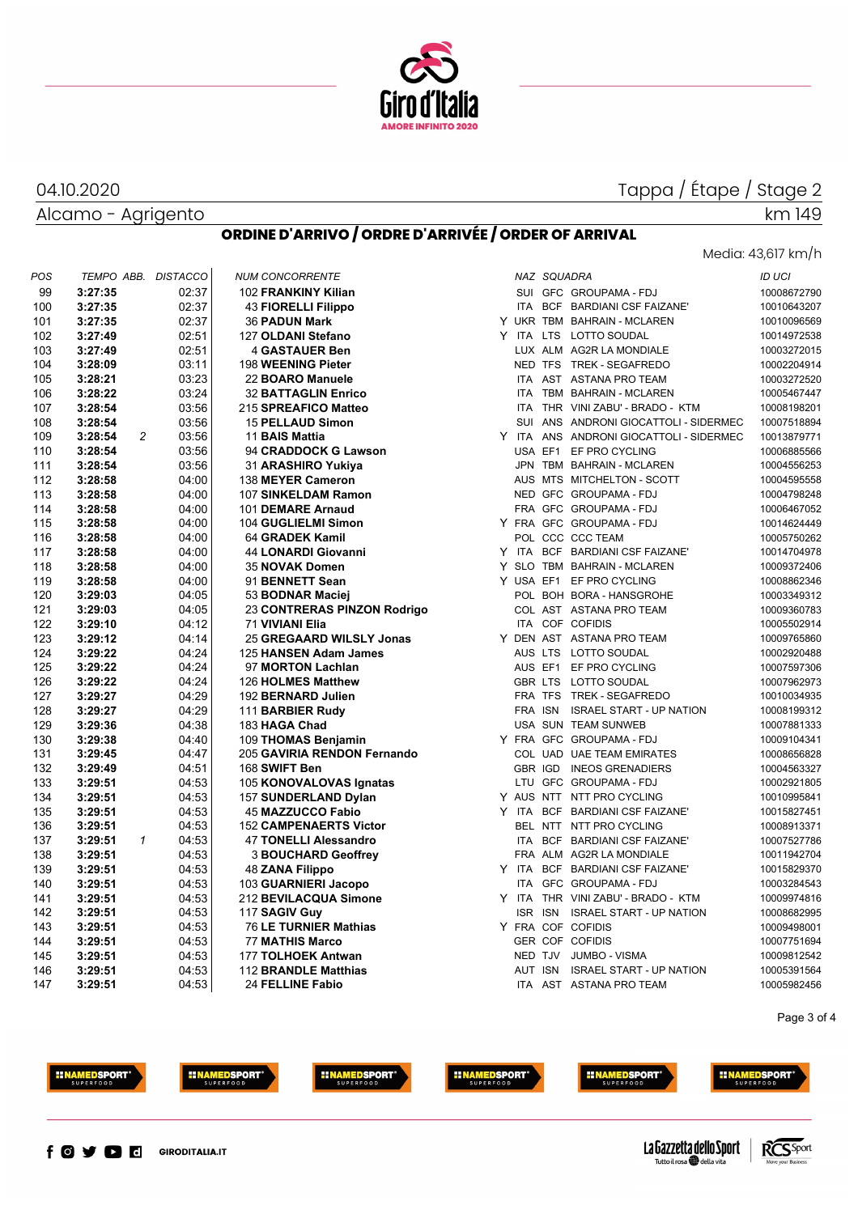

#### Alcamo - Agrigento

04.10.2020

# Media: 43,617 km/h

#### **ORDINE D'ARRIVO / ORDRE D'ARRIVÉE / ORDER OF ARRIVAL**

| POS | TEMPO ABB. DISTACCO       |       | <b>NUM CONCORRENTE</b>        |  | NAZ SQUADRA |                                         | ID UCI      |
|-----|---------------------------|-------|-------------------------------|--|-------------|-----------------------------------------|-------------|
| 99  | 3:27:35                   | 02:37 | 102 FRANKINY Kilian           |  |             | SUI GFC GROUPAMA - FDJ                  | 10008672790 |
| 100 | 3:27:35                   | 02:37 | <b>43 FIORELLI Filippo</b>    |  |             | ITA BCF BARDIANI CSF FAIZANE'           | 10010643207 |
| 101 | 3:27:35                   | 02:37 | <b>36 PADUN Mark</b>          |  |             | Y UKR TBM BAHRAIN - MCLAREN             | 10010096569 |
| 102 | 3:27:49                   | 02:51 | 127 OLDANI Stefano            |  |             | Y ITA LTS LOTTO SOUDAL                  | 10014972538 |
| 103 | 3:27:49                   | 02:51 | <b>4 GASTAUER Ben</b>         |  |             | LUX ALM AG2R LA MONDIALE                | 10003272015 |
| 104 | 3:28:09                   | 03:11 | 198 WEENING Pieter            |  |             | NED TFS TREK - SEGAFREDO                | 10002204914 |
| 105 | 3:28:21                   | 03:23 | 22 BOARO Manuele              |  |             | ITA AST ASTANA PRO TEAM                 | 10003272520 |
| 106 | 3:28:22                   | 03:24 | <b>32 BATTAGLIN Enrico</b>    |  |             | ITA TBM BAHRAIN - MCLAREN               | 10005467447 |
| 107 | 3:28:54                   | 03:56 | 215 SPREAFICO Matteo          |  |             | ITA THR VINI ZABU' - BRADO - KTM        | 10008198201 |
| 108 | 3:28:54                   | 03:56 | 15 PELLAUD Simon              |  |             | SUI ANS ANDRONI GIOCATTOLI - SIDERMEC   | 10007518894 |
| 109 | $\overline{c}$<br>3:28:54 | 03:56 | 11 BAIS Mattia                |  |             | Y ITA ANS ANDRONI GIOCATTOLI - SIDERMEC | 10013879771 |
| 110 | 3:28:54                   | 03:56 | 94 CRADDOCK G Lawson          |  |             | USA EF1 EF PRO CYCLING                  | 10006885566 |
| 111 | 3:28:54                   | 03:56 | 31 ARASHIRO Yukiya            |  |             | JPN TBM BAHRAIN - MCLAREN               | 10004556253 |
| 112 | 3:28:58                   | 04:00 | 138 MEYER Cameron             |  |             | AUS MTS MITCHELTON - SCOTT              | 10004595558 |
| 113 | 3:28:58                   | 04:00 | 107 SINKELDAM Ramon           |  |             | NED GFC GROUPAMA - FDJ                  | 10004798248 |
| 114 | 3:28:58                   | 04:00 | 101 DEMARE Arnaud             |  |             | FRA GFC GROUPAMA-FDJ                    | 10006467052 |
| 115 | 3:28:58                   | 04:00 | 104 GUGLIELMI Simon           |  |             | Y FRA GFC GROUPAMA-FDJ                  | 10014624449 |
| 116 | 3:28:58                   | 04:00 | 64 GRADEK Kamil               |  |             | POL CCC CCC TEAM                        | 10005750262 |
| 117 | 3:28:58                   | 04:00 | 44 LONARDI Giovanni           |  |             | Y ITA BCF BARDIANI CSF FAIZANE'         | 10014704978 |
| 118 | 3:28:58                   | 04:00 | 35 NOVAK Domen                |  |             | Y SLO TBM BAHRAIN - MCLAREN             | 10009372406 |
| 119 | 3:28:58                   | 04:00 | 91 BENNETT Sean               |  |             | Y USA EF1 EF PRO CYCLING                | 10008862346 |
| 120 | 3:29:03                   | 04:05 | 53 BODNAR Maciej              |  |             | POL BOH BORA - HANSGROHE                | 10003349312 |
| 121 | 3:29:03                   | 04:05 | 23 CONTRERAS PINZON Rodrigo   |  |             | COL AST ASTANA PRO TEAM                 | 10009360783 |
| 122 | 3:29:10                   | 04:12 | <b>71 VIVIANI Elia</b>        |  |             | ITA COF COFIDIS                         | 10005502914 |
| 123 | 3:29:12                   | 04:14 | 25 GREGAARD WILSLY Jonas      |  |             | Y DEN AST ASTANA PRO TEAM               | 10009765860 |
| 124 | 3:29:22                   | 04:24 | 125 HANSEN Adam James         |  |             | AUS LTS LOTTO SOUDAL                    | 10002920488 |
| 125 | 3:29:22                   | 04:24 | 97 MORTON Lachlan             |  |             | AUS EF1 EF PRO CYCLING                  | 10007597306 |
| 126 | 3:29:22                   | 04:24 | 126 HOLMES Matthew            |  |             | GBR LTS LOTTO SOUDAL                    | 10007962973 |
| 127 | 3:29:27                   | 04:29 | 192 BERNARD Julien            |  |             | FRA TFS TREK - SEGAFREDO                | 10010034935 |
| 128 | 3:29:27                   | 04:29 | 111 BARBIER Rudy              |  |             | FRA ISN ISRAEL START - UP NATION        | 10008199312 |
| 129 | 3:29:36                   | 04:38 | 183 HAGA Chad                 |  |             | USA SUN TEAM SUNWEB                     | 10007881333 |
| 130 | 3:29:38                   | 04:40 | 109 THOMAS Benjamin           |  |             | Y FRA GFC GROUPAMA-FDJ                  | 10009104341 |
| 131 | 3:29:45                   | 04:47 | 205 GAVIRIA RENDON Fernando   |  |             | COL UAD UAE TEAM EMIRATES               | 10008656828 |
| 132 | 3:29:49                   | 04:51 | 168 SWIFT Ben                 |  |             | GBR IGD INEOS GRENADIERS                | 10004563327 |
| 133 | 3:29:51                   | 04:53 | 105 KONOVALOVAS Ignatas       |  |             | LTU GFC GROUPAMA - FDJ                  | 10002921805 |
| 134 | 3:29:51                   | 04:53 | 157 SUNDERLAND Dylan          |  |             | Y AUS NTT NTT PRO CYCLING               | 10010995841 |
| 135 | 3:29:51                   | 04:53 | <b>45 MAZZUCCO Fabio</b>      |  |             | Y ITA BCF BARDIANI CSF FAIZANE'         | 10015827451 |
| 136 | 3:29:51                   | 04:53 | <b>152 CAMPENAERTS Victor</b> |  |             | BEL NTT NTT PRO CYCLING                 | 10008913371 |
| 137 | 3:29:51<br>$\mathcal{I}$  | 04:53 | <b>47 TONELLI Alessandro</b>  |  |             | ITA BCF BARDIANI CSF FAIZANE'           | 10007527786 |
| 138 | 3:29:51                   | 04:53 | <b>3 BOUCHARD Geoffrey</b>    |  |             | FRA ALM AG2R LA MONDIALE                | 10011942704 |
| 139 | 3:29:51                   | 04:53 | 48 ZANA Filippo               |  |             | Y ITA BCF BARDIANI CSF FAIZANE'         | 10015829370 |
| 140 | 3:29:51                   | 04:53 | 103 GUARNIERI Jacopo          |  |             | ITA GFC GROUPAMA - FDJ                  | 10003284543 |
| 141 | 3:29:51                   | 04:53 | 212 BEVILACQUA Simone         |  |             | Y ITA THR VINI ZABU' - BRADO - KTM      | 10009974816 |
| 142 | 3:29:51                   | 04:53 | 117 SAGIV Guy                 |  |             | ISR ISN ISRAEL START - UP NATION        | 10008682995 |
| 143 | 3:29:51                   | 04:53 | 76 LE TURNIER Mathias         |  |             | Y FRA COF COFIDIS                       | 10009498001 |
| 144 | 3:29:51                   | 04:53 | <b>77 MATHIS Marco</b>        |  |             | <b>GER COF COFIDIS</b>                  | 10007751694 |
| 145 | 3:29:51                   | 04:53 | 177 TOLHOEK Antwan            |  |             | NED TJV JUMBO - VISMA                   | 10009812542 |
| 146 | 3:29:51                   | 04:53 | 112 BRANDLE Matthias          |  |             | AUT ISN ISRAEL START - UP NATION        | 10005391564 |
| 147 | 3:29:51                   | 04:53 | 24 FELLINE Fabio              |  |             | ITA AST ASTANA PRO TEAM                 | 10005982456 |
|     |                           |       |                               |  |             |                                         |             |

Page 3 of 4







**EINAMEDSPORT** 





**HINAMEDSPORT**